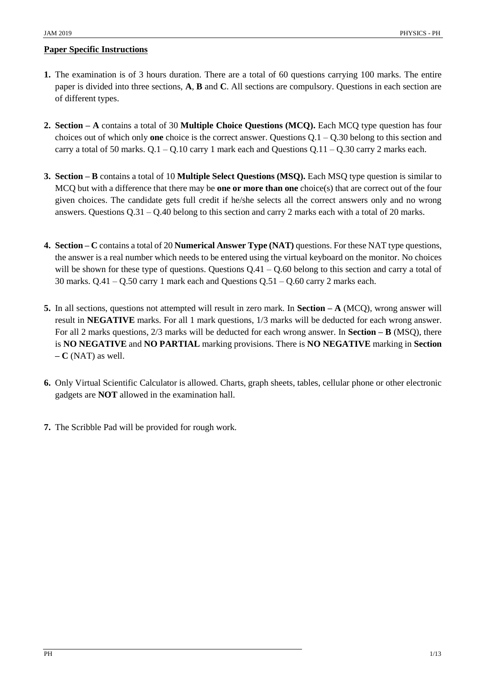### **Paper Specific Instructions**

- **1.** The examination is of 3 hours duration. There are a total of 60 questions carrying 100 marks. The entire paper is divided into three sections, **A**, **B** and **C**. All sections are compulsory. Questions in each section are of different types.
- **2. Section – A** contains a total of 30 **Multiple Choice Questions (MCQ).** Each MCQ type question has four choices out of which only **one** choice is the correct answer. Questions Q.1 – Q.30 belong to this section and carry a total of 50 marks.  $Q.1 - Q.10$  carry 1 mark each and Questions  $Q.11 - Q.30$  carry 2 marks each.
- **3. Section – B** contains a total of 10 **Multiple Select Questions (MSQ).** Each MSQ type question is similar to MCQ but with a difference that there may be **one or more than one** choice(s) that are correct out of the four given choices. The candidate gets full credit if he/she selects all the correct answers only and no wrong answers. Questions  $Q.31 - Q.40$  belong to this section and carry 2 marks each with a total of 20 marks.
- **4. Section – C** contains a total of 20 **Numerical Answer Type (NAT)** questions. For these NAT type questions, the answer is a real number which needs to be entered using the virtual keyboard on the monitor. No choices will be shown for these type of questions. Questions  $Q.41 - Q.60$  belong to this section and carry a total of 30 marks.  $Q.41 - Q.50$  carry 1 mark each and Questions  $Q.51 - Q.60$  carry 2 marks each.
- **5.** In all sections, questions not attempted will result in zero mark. In **Section – A** (MCQ), wrong answer will result in **NEGATIVE** marks. For all 1 mark questions, 1/3 marks will be deducted for each wrong answer. For all 2 marks questions, 2/3 marks will be deducted for each wrong answer. In **Section – B** (MSQ), there is **NO NEGATIVE** and **NO PARTIAL** marking provisions. There is **NO NEGATIVE** marking in **Section – C** (NAT) as well.
- **6.** Only Virtual Scientific Calculator is allowed. Charts, graph sheets, tables, cellular phone or other electronic gadgets are **NOT** allowed in the examination hall.
- **7.** The Scribble Pad will be provided for rough work.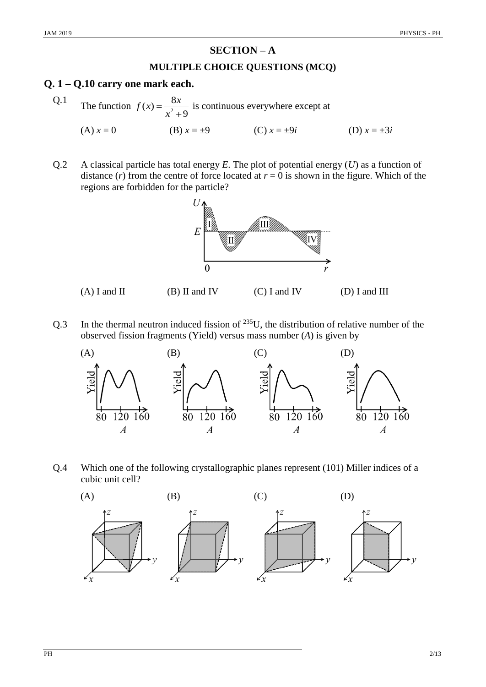# **SECTION – A**

#### **MULTIPLE CHOICE QUESTIONS (MCQ)**

### **Q. 1 – Q.10 carry one mark each.**

Q.1 The function  $f(x) = \frac{8}{x^2}$  $(x) = \frac{8}{2}$ 9  $f(x) = \frac{8x}{x^2}$ *x*  $=$  $\ddot{}$ is continuous everywhere except at

(A)  $x = 0$  (B)  $x = \pm 9$  (C)  $x = \pm 9i$  (D)  $x = \pm 3i$ 

Q.2 A classical particle has total energy *E*. The plot of potential energy (*U*) as a function of distance  $(r)$  from the centre of force located at  $r = 0$  is shown in the figure. Which of the regions are forbidden for the particle?



(A) I and II (B) II and IV (C) I and IV (D) I and III

Q.3 In the thermal neutron induced fission of  $^{235}$ U, the distribution of relative number of the observed fission fragments (Yield) versus mass number (*A*) is given by



Q.4 Which one of the following crystallographic planes represent (101) Miller indices of a cubic unit cell?

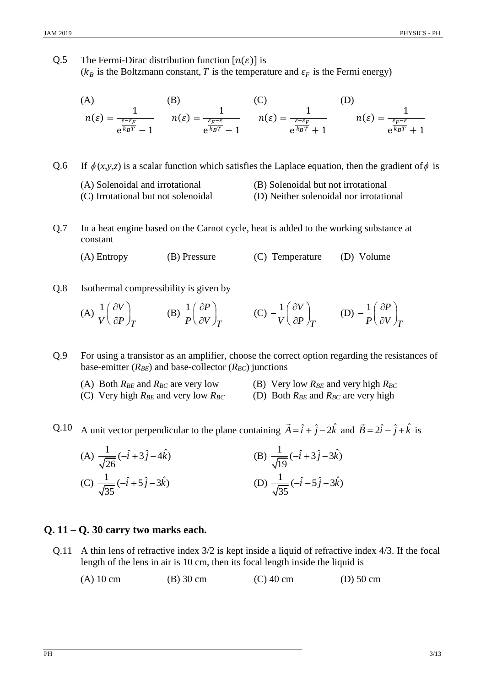Q.5 The Fermi-Dirac distribution function  $[n(\varepsilon)]$  is ( $k_B$  is the Boltzmann constant, T is the temperature and  $\varepsilon_F$  is the Fermi energy)

(A) (B) (C) 
$$
n(\varepsilon) = \frac{1}{e^{\frac{\varepsilon - \varepsilon_F}{k_B T}} - 1}
$$
 (B) (C) (D) 
$$
n(\varepsilon) = \frac{1}{e^{\frac{\varepsilon_F - \varepsilon}{k_B T}} - 1}
$$
 (D) 
$$
n(\varepsilon) = \frac{1}{e^{\frac{\varepsilon_F - \varepsilon}{k_B T}} + 1}
$$
 (E) 
$$
n(\varepsilon) = \frac{1}{e^{\frac{\varepsilon_F - \varepsilon}{k_B T}} + 1}
$$

 $0.6$  $\phi(x, y, z)$  is a scalar function which satisfies the Laplace equation, then the gradient of  $\phi$  is

- (A) Solenoidal and irrotational (B) Solenoidal but not irrotational
- (C) Irrotational but not solenoidal (D) Neither solenoidal nor irrotational
- Q.7 In a heat engine based on the Carnot cycle, heat is added to the working substance at constant

(A) Entropy (B) Pressure (C) Temperature (D) Volume

Q.8 Isothermal compressibility is given by

(A) 
$$
\frac{1}{V} \left( \frac{\partial V}{\partial P} \right)_T
$$
 (B)  $\frac{1}{P} \left( \frac{\partial P}{\partial V} \right)_T$  (C)  $-\frac{1}{V} \left( \frac{\partial V}{\partial P} \right)_T$  (D)  $-\frac{1}{P} \left( \frac{\partial P}{\partial V} \right)_T$ 

Q.9 For using a transistor as an amplifier, choose the correct option regarding the resistances of base-emitter  $(R_{BE})$  and base-collector  $(R_{BC})$  junctions

- -
- (A) Both  $R_{BE}$  and  $R_{BC}$  are very low (B) Very low  $R_{BE}$  and very high  $R_{BC}$
- (C) Very high  $R_{BE}$  and very low  $R_{BC}$  (D) Both  $R_{BE}$  and  $R_{BC}$  are very high

Q.10 A unit vector perpendicular to the plane containing  $\vec{A} = \hat{i} + \hat{j} - 2\hat{k}$  and  $\vec{B} = 2\hat{i} - \hat{j} + \hat{k}$  is

(A) 
$$
\frac{1}{\sqrt{26}}(-\hat{i}+3\hat{j}-4\hat{k})
$$
  
\n(B)  $\frac{1}{\sqrt{19}}(-\hat{i}+3\hat{j}-3\hat{k})$   
\n(C)  $\frac{1}{\sqrt{35}}(-\hat{i}+5\hat{j}-3\hat{k})$   
\n(D)  $\frac{1}{\sqrt{35}}(-\hat{i}-5\hat{j}-3\hat{k})$ 

#### **Q. 11 – Q. 30 carry two marks each.**

- Q.11 A thin lens of refractive index 3/2 is kept inside a liquid of refractive index 4/3. If the focal length of the lens in air is 10 cm, then its focal length inside the liquid is
	- (A) 10 cm (B) 30 cm (C) 40 cm (D) 50 cm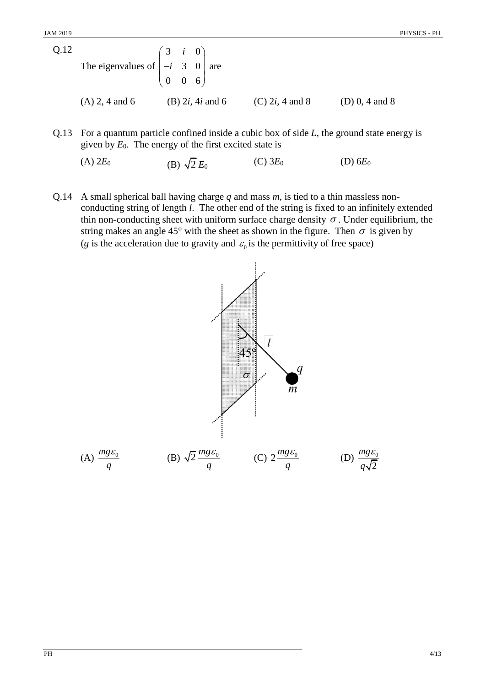| Q.12 | The eigenvalues of $\begin{pmatrix} 3 & i & 0 \\ -i & 3 & 0 \end{pmatrix}$ are | $\begin{pmatrix} 0 & 0 & 6 \end{pmatrix}$ |                                   |                          |                    |
|------|--------------------------------------------------------------------------------|-------------------------------------------|-----------------------------------|--------------------------|--------------------|
|      | $(A)$ 2, 4 and 6                                                               |                                           | (B) 2 <i>i</i> , 4 <i>i</i> and 6 | (C) 2 <i>i</i> , 4 and 8 | (D) $0, 4$ and $8$ |

Q.13 For a quantum particle confined inside a cubic box of side *L*, the ground state energy is given by  $E_0$ . The energy of the first excited state is

(A) 
$$
2E_0
$$
 \t\t (B)  $\sqrt{2} E_0$  \t\t (C)  $3E_0$  \t\t (D)  $6E_0$ 

Q.14 A small spherical ball having charge *q* and mass *m*, is tied to a thin massless nonconducting string of length *l*. The other end of the string is fixed to an infinitely extended thin non-conducting sheet with uniform surface charge density  $\sigma$ . Under equilibrium, the string makes an angle 45° with the sheet as shown in the figure. Then  $\sigma$  is given by (*g* is the acceleration due to gravity and  $\varepsilon_0$  is the permittivity of free space)

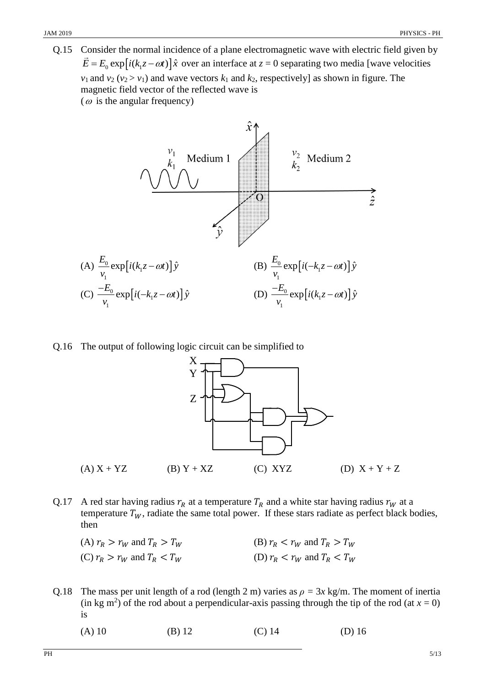Q.15 Consider the normal incidence of a plane electromagnetic wave with electric field given by  $\vec{E} = E_0 \exp[i(k_1 z - \omega t)]\hat{x}$  over an interface at  $z = 0$  separating two media [wave velocities  $v_1$  and  $v_2$  ( $v_2 > v_1$ ) and wave vectors  $k_1$  and  $k_2$ , respectively] as shown in figure. The magnetic field vector of the reflected wave is ( $\omega$  is the angular frequency)



Q.16 The output of following logic circuit can be simplified to



- Q.17 A red star having radius  $r_R$  at a temperature  $T_R$  and a white star having radius  $r_W$  at a temperature  $T_W$ , radiate the same total power. If these stars radiate as perfect black bodies, then
	- (A)  $r_R > r_W$  and  $T_R > T_W$  (B)  $r_R < r_W$  and  $T_R > T_W$ (C)  $r_R > r_W$  and  $T_R < T_W$  (D)  $r_R < r_W$  and  $T_R < T_W$
- Q.18 The mass per unit length of a rod (length 2 m) varies as  $\rho = 3x \text{ kg/m}$ . The moment of inertia  $\pi$  (in kg m<sup>2</sup>) of the rod about a perpendicular-axis passing through the tip of the rod (at  $x = 0$ ) is
	-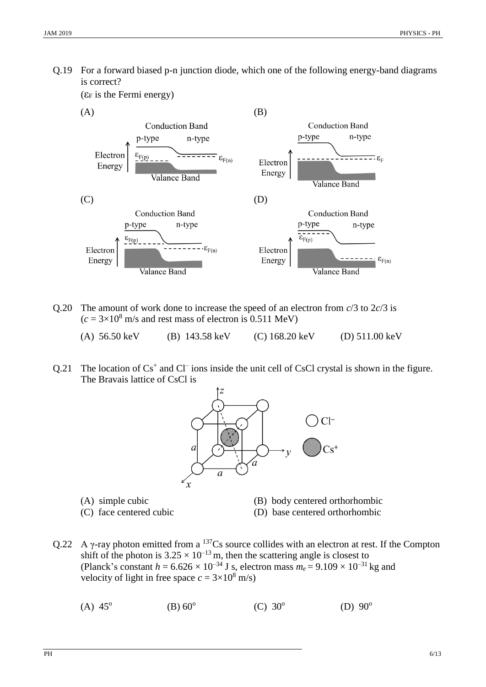Q.19 For a forward biased p-n junction diode, which one of the following energy-band diagrams is correct?

( $\varepsilon_F$  is the Fermi energy)



- Q.20 The amount of work done to increase the speed of an electron from  $c/3$  to  $2c/3$  is  $(c = 3 \times 10^8 \text{ m/s}$  and rest mass of electron is 0.511 MeV)
	- (A) 56.50 keV (B) 143.58 keV (C) 168.20 keV (D) 511.00 keV
- Q.21 The location of  $Cs<sup>+</sup>$  and  $Cl<sup>-</sup>$  ions inside the unit cell of CsCl crystal is shown in the figure. The Bravais lattice of CsCl is



- 
- (A) simple cubic (B) body centered orthorhombic
- 
- (C) face centered cubic (D) base centered orthorhombic
- Q.22 A  $\gamma$ -ray photon emitted from a <sup>137</sup>Cs source collides with an electron at rest. If the Compton shift of the photon is  $3.25 \times 10^{-13}$  m, then the scattering angle is closest to (Planck's constant  $h = 6.626 \times 10^{-34}$  J s, electron mass  $m_e = 9.109 \times 10^{-31}$  kg and velocity of light in free space  $c = 3 \times 10^8$  m/s)
	- $(A) 45^{\circ}$  $(B) 60^{\circ}$  $(C) 30^{\circ}$ (D)  $90^{\circ}$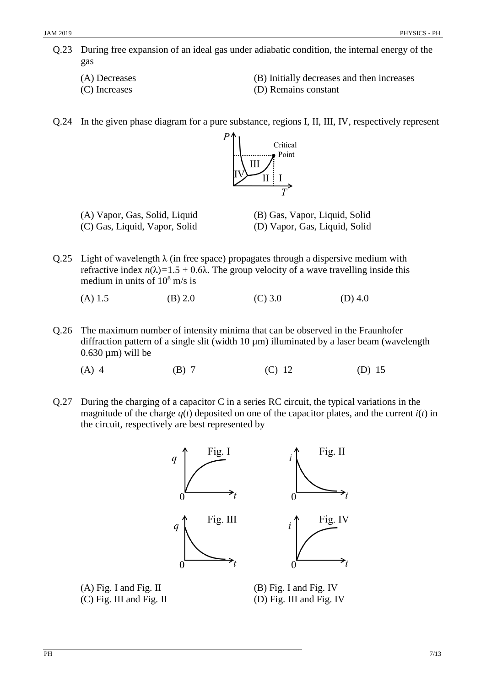- Q.23 During free expansion of an ideal gas under adiabatic condition, the internal energy of the gas
	-
	-
	- (A) Decreases (B) Initially decreases and then increases
	- (C) Increases (D) Remains constant
- Q.24 In the given phase diagram for a pure substance, regions I, II, III, IV, respectively represent



- (A) Vapor, Gas, Solid, Liquid (B) Gas, Vapor, Liquid, Solid (C) Gas, Liquid, Vapor, Solid (D) Vapor, Gas, Liquid, Solid
- 
- Q.25 Light of wavelength  $\lambda$  (in free space) propagates through a dispersive medium with refractive index  $n(\lambda) = 1.5 + 0.6\lambda$ . The group velocity of a wave travelling inside this medium in units of  $10^8$  m/s is

(A) 1.5 (B) 2.0 (C) 3.0 (D) 4.0

- Q.26 The maximum number of intensity minima that can be observed in the Fraunhofer diffraction pattern of a single slit (width 10  $\mu$ m) illuminated by a laser beam (wavelength  $0.630 \mu m$ ) will be
	- (A) 4 (B) 7 (C) 12 (D) 15
- Q.27 During the charging of a capacitor C in a series RC circuit, the typical variations in the magnitude of the charge  $q(t)$  deposited on one of the capacitor plates, and the current  $i(t)$  in the circuit, respectively are best represented by



(A) Fig. I and Fig. II (B) Fig. I and Fig. IV (C) Fig. III and Fig. II (D) Fig. III and Fig. IV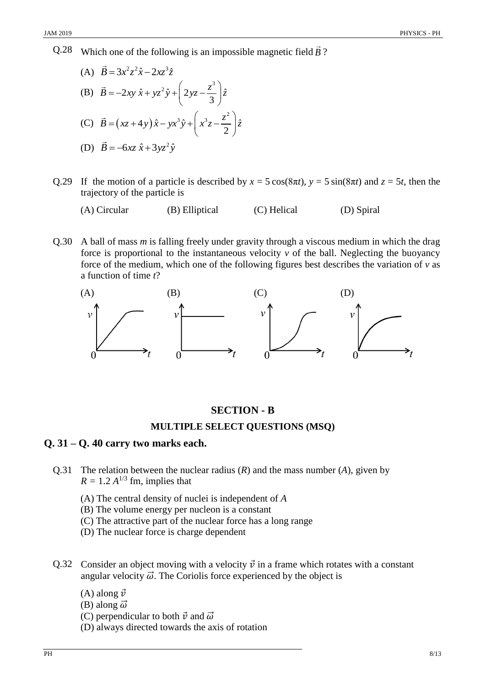Q.28 Which one of the following is an impossible magnetic field  $\vec{B}$ ?

(A) 
$$
\vec{B} = 3x^2z^2\hat{x} - 2xz^3\hat{z}
$$
  
\n(B)  $\vec{B} = -2xy \hat{x} + yz^2\hat{y} + \left(2yz - \frac{z^3}{3}\right)\hat{z}$   
\n(C)  $\vec{B} = (xz + 4y)\hat{x} - yx^3\hat{y} + \left(x^3z - \frac{z^2}{2}\right)\hat{z}$   
\n(D)  $\vec{B} = -6xz \hat{x} + 3yz^2\hat{y}$ 

- Q.29 If the motion of a particle is described by  $x = 5 \cos(8\pi t)$ ,  $y = 5 \sin(8\pi t)$  and  $z = 5t$ , then the trajectory of the particle is
	- (A) Circular (B) Elliptical (C) Helical (D) Spiral
- Q.30 A ball of mass *m* is falling freely under gravity through a viscous medium in which the drag force is proportional to the instantaneous velocity  $\nu$  of the ball. Neglecting the buoyancy force of the medium, which one of the following figures best describes the variation of *v* as a function of time *t*?



## **SECTION - B**

#### **MULTIPLE SELECT QUESTIONS (MSQ)**

### **Q. 31 – Q. 40 carry two marks each.**

- Q.31 The relation between the nuclear radius (*R*) and the mass number (*A*), given by  $R = 1.2 A^{1/3}$  fm, implies that
	- (A) The central density of nuclei is independent of *A*
	- (B) The volume energy per nucleon is a constant
	- (C) The attractive part of the nuclear force has a long range
	- (D) The nuclear force is charge dependent
- Q.32 Consider an object moving with a velocity  $\vec{v}$  in a frame which rotates with a constant angular velocity  $\vec{\omega}$ . The Coriolis force experienced by the object is
	- (A) along  $\vec{v}$
	- (B) along  $\vec{\omega}$
	- (C) perpendicular to both  $\vec{v}$  and  $\vec{\omega}$
	- (D) always directed towards the axis of rotation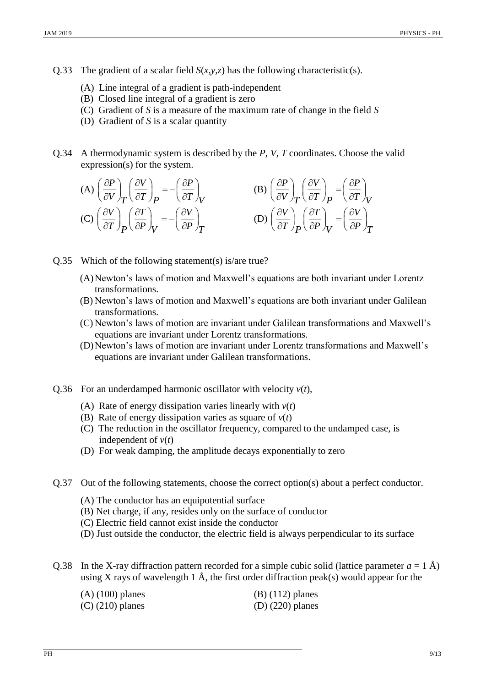- Q.33 The gradient of a scalar field  $S(x, y, z)$  has the following characteristic(s).
	- (A) Line integral of a gradient is path-independent
	- (B) Closed line integral of a gradient is zero
	- (C) Gradient of *S* is a measure of the maximum rate of change in the field *S*
	- (D) Gradient of *S* is a scalar quantity
- Q.34 A thermodynamic system is described by the *P, V, T* coordinates. Choose the valid expression(s) for the system.

(A) 
$$
\left(\frac{\partial P}{\partial V}\right)_T \left(\frac{\partial V}{\partial T}\right)_P = -\left(\frac{\partial P}{\partial T}\right)_V
$$
  
\n(B)  $\left(\frac{\partial P}{\partial V}\right)_T \left(\frac{\partial V}{\partial T}\right)_P = \left(\frac{\partial P}{\partial T}\right)_V$   
\n(C)  $\left(\frac{\partial V}{\partial T}\right)_P \left(\frac{\partial T}{\partial P}\right)_V = -\left(\frac{\partial V}{\partial P}\right)_T$   
\n(D)  $\left(\frac{\partial V}{\partial T}\right)_P \left(\frac{\partial T}{\partial P}\right)_V = \left(\frac{\partial V}{\partial P}\right)_T$ 

- Q.35 Which of the following statement(s) is/are true?
	- (A)Newton's laws of motion and Maxwell's equations are both invariant under Lorentz transformations.
	- (B) Newton's laws of motion and Maxwell's equations are both invariant under Galilean transformations.
	- (C) Newton's laws of motion are invariant under Galilean transformations and Maxwell's equations are invariant under Lorentz transformations.
	- (D)Newton's laws of motion are invariant under Lorentz transformations and Maxwell's equations are invariant under Galilean transformations.
- Q.36 For an underdamped harmonic oscillator with velocity *v*(*t*),
	- (A) Rate of energy dissipation varies linearly with *v*(*t*)
	- (B) Rate of energy dissipation varies as square of *v*(*t*)
	- (C) The reduction in the oscillator frequency, compared to the undamped case, is independent of  $v(t)$
	- (D) For weak damping, the amplitude decays exponentially to zero
- Q.37 Out of the following statements, choose the correct option(s) about a perfect conductor.
	- (A) The conductor has an equipotential surface
	- (B) Net charge, if any, resides only on the surface of conductor
	- (C) Electric field cannot exist inside the conductor
	- (D) Just outside the conductor, the electric field is always perpendicular to its surface
- Q.38 In the X-ray diffraction pattern recorded for a simple cubic solid (lattice parameter  $a = 1 \text{ Å}$ ) using X rays of wavelength 1 Å, the first order diffraction peak(s) would appear for the

| $(A)$ (100) planes | $(B)$ (112) planes |
|--------------------|--------------------|
| $(C)$ (210) planes | $(D)$ (220) planes |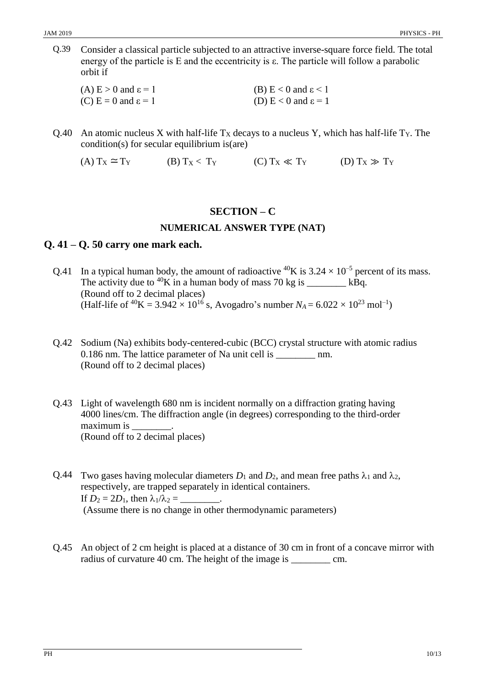Q.39 Consider a classical particle subjected to an attractive inverse-square force field. The total energy of the particle is E and the eccentricity is ε. The particle will follow a parabolic orbit if

| (A) $E > 0$ and $\epsilon = 1$ | (B) $E < 0$ and $\epsilon < 1$    |
|--------------------------------|-----------------------------------|
| (C) $E = 0$ and $\epsilon = 1$ | (D) $E < 0$ and $\varepsilon = 1$ |

Q.40 An atomic nucleus X with half-life  $T_X$  decays to a nucleus Y, which has half-life  $T_Y$ . The condition(s) for secular equilibrium is(are)

(A)  $T_X \cong T_Y$  (B)  $T_X < T_Y$  (C)  $T_X \ll T_Y$  (D)  $T_X \gg T_Y$ 

## **SECTION – C**

## **NUMERICAL ANSWER TYPE (NAT)**

## **Q. 41 – Q. 50 carry one mark each.**

- Q.41 In a typical human body, the amount of radioactive <sup>40</sup>K is  $3.24 \times 10^{-5}$  percent of its mass. The activity due to  ${}^{40}K$  in a human body of mass 70 kg is \_\_\_\_\_\_\_\_ kBq. (Round off to 2 decimal places) (Half-life of <sup>40</sup>K = 3.942  $\times$  10<sup>16</sup> s, Avogadro's number  $N_A$  = 6.022  $\times$  10<sup>23</sup> mol<sup>-1</sup>)
- Q.42 Sodium (Na) exhibits body-centered-cubic (BCC) crystal structure with atomic radius 0.186 nm. The lattice parameter of Na unit cell is mm. (Round off to 2 decimal places)
- Q.43 Light of wavelength 680 nm is incident normally on a diffraction grating having 4000 lines/cm. The diffraction angle (in degrees) corresponding to the third-order maximum is (Round off to 2 decimal places)
- Q.44 Two gases having molecular diameters  $D_1$  and  $D_2$ , and mean free paths  $\lambda_1$  and  $\lambda_2$ , respectively, are trapped separately in identical containers. If  $D_2 = 2D_1$ , then  $\lambda_1/\lambda_2 =$  \_\_\_\_\_\_\_\_\_. (Assume there is no change in other thermodynamic parameters)
- Q.45 An object of 2 cm height is placed at a distance of 30 cm in front of a concave mirror with radius of curvature 40 cm. The height of the image is \_\_\_\_\_\_\_\_ cm.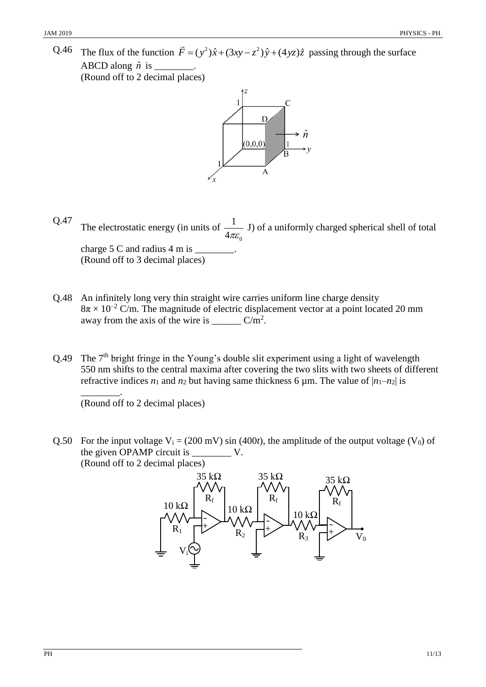Q.46 The flux of the function  $\vec{F} = (y^2)\hat{x} + (3xy - z^2)\hat{y} + (4yz)\hat{z}$  passing through the surface ABCD along  $\hat{n}$  is  $\_\_\_\_\_\_\_\_\_\_\$ . (Round off to 2 decimal places)



- Q.47 The electrostatic energy (in units of 0 1  $4\pi\varepsilon$ J) of a uniformly charged spherical shell of total charge  $5$  C and radius  $4$  m is (Round off to 3 decimal places)
- Q.48 An infinitely long very thin straight wire carries uniform line charge density  $8\pi \times 10^{-2}$  C/m. The magnitude of electric displacement vector at a point located 20 mm away from the axis of the wire is  $\_\_\_\_\_\_\_\_\_\_\_\_\_\_\_\_\_\_\$
- Q.49 The 7<sup>th</sup> bright fringe in the Young's double slit experiment using a light of wavelength 550 nm shifts to the central maxima after covering the two slits with two sheets of different refractive indices  $n_1$  and  $n_2$  but having same thickness 6  $\mu$ m. The value of  $|n_1-n_2|$  is

\_\_\_\_\_\_\_\_. (Round off to 2 decimal places)

Q.50 For the input voltage  $V_i = (200 \text{ mV}) \sin (400t)$ , the amplitude of the output voltage (V<sub>0</sub>) of the given OPAMP circuit is \_\_\_\_\_\_\_\_ V. (Round off to 2 decimal places)

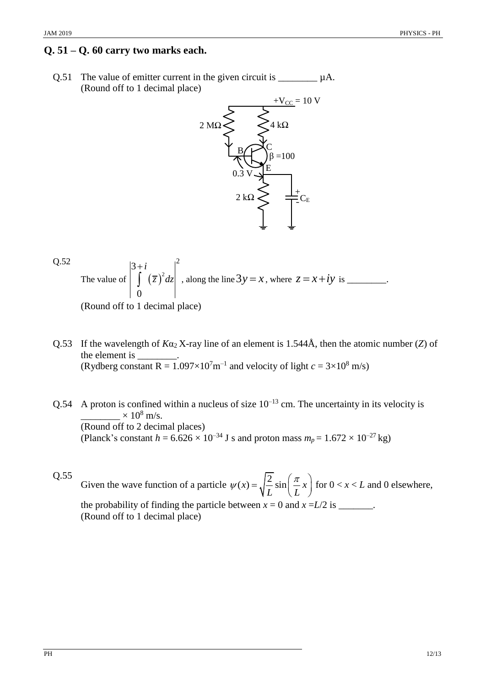## **Q. 51 – Q. 60 carry two marks each.**

Q.51 The value of emitter current in the given circuit is  $\mu A$ . (Round off to 1 decimal place)



Q.52  
The value of 
$$
\int_{0}^{3+i} (\overline{z})^2 dz \Big|_{0}^{2}
$$
, along the line  $3y = x$ , where  $z = x + iy$  is \_\_\_\_\_\_\_.

(Round off to 1 decimal place)

- Q.53 If the wavelength of  $K\alpha_2$  X-ray line of an element is 1.544Å, then the atomic number (*Z*) of the element is \_\_\_\_\_\_\_\_. (Rydberg constant  $R = 1.097 \times 10^7$  m<sup>-1</sup> and velocity of light  $c = 3 \times 10^8$  m/s)
- Q.54 A proton is confined within a nucleus of size  $10^{-13}$  cm. The uncertainty in its velocity is  $\times 10^8$  m/s. (Round off to 2 decimal places) (Planck's constant  $h = 6.626 \times 10^{-34}$  J s and proton mass  $m_p = 1.672 \times 10^{-27}$  kg)

Q.55 Given the wave function of a particle  $\psi(x) = \sqrt{\frac{2}{\pi}} \sin \left( \frac{\pi}{x} x\right)$  $\frac{1}{L}$  sin  $\left(\frac{1}{L}\right)$  $\psi(x) = \sqrt{\frac{2}{x}} \sin \left( \frac{\pi}{x} x \right)$  for  $f(x) = \sqrt{\frac{2}{L}} \sin\left(\frac{\pi}{L}x\right)$  for  $0 < x < L$  and 0 elsewhere, the probability of finding the particle between  $x = 0$  and  $x = L/2$  is \_\_\_\_\_\_. (Round off to 1 decimal place)